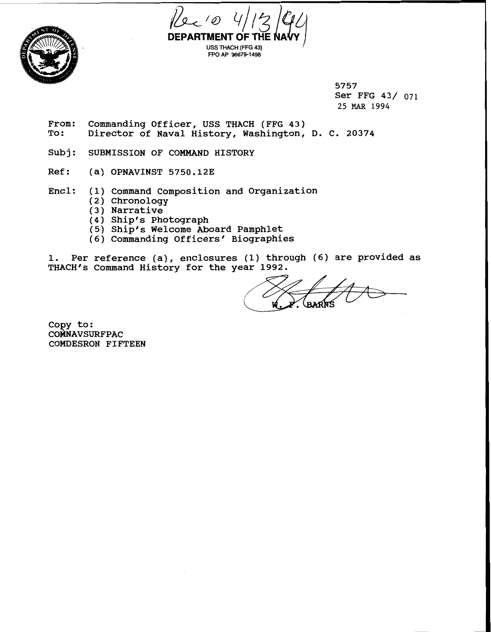5757 Ser FFG 43/ <sup>071</sup> 25 MAR 1994

From: Commanding Officer, USS THACH (FFG 43) To: Director of Naval History, Washington, D. C. 20374

**DEPARTMENT OF** 

Rec 10 4/13/94

**USS THACH (FFG 43) FPO AP 96679-1498** 

- Subj: SUBMISSION OF COMMAND HISTORY
- Ref: (a) OPNAVINST 5750.12E
- Encl: (1) Command composition and organization
	- (2) Chronology
	- (3) Narrative
	- (4) Ship's Photograph
	- (5) ship's Welcome Aboard Pamphlet
	- (6) Commanding Officers' Biographies

1. Per reference (a), enclosures (1) through (6) are provided as THACH's Command History for the year 1992.

Copy to: **COMNAVSURFPAC** COMDESRON FIFTEEN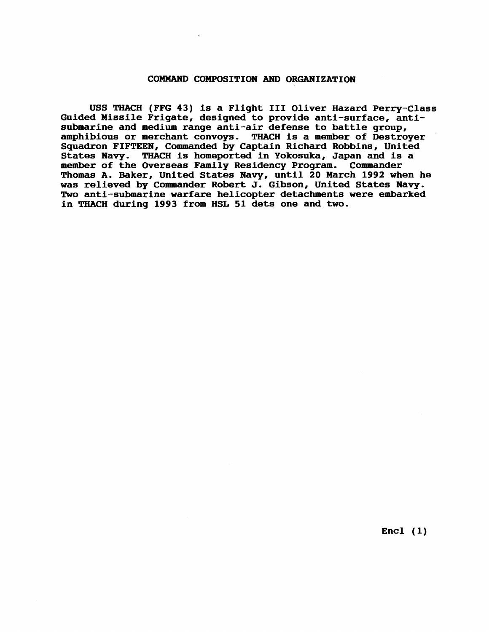## **COMMAND COMPOSITION AND ORGANIZATION**

**USS THACH (FFG 43) is a Flight I11 Oliver Hazard Perry-Class Guided Missile Frigate, designed to provide anti-surface, antisubmarine and medium range anti-air defense to battle group, amphibious or merchant convoys. THACH is a member of Destroyer Squadron FIFTEEN, Commanded by Captain Richard Robbins, United States Navy. THACH is homeported in Yokosuka, Japan and is a**  member of the Overseas Family Residency Program. **Thomas A. Baker, United States Navy, until 20 March 1992 when he was relieved by Commander Robert J. Gibson, United States Navy. Two anti-submarine warfare helicopter detachments were embarked in THACH during 1993 from HSL 51 dets one and two.** 

**Encl (1)**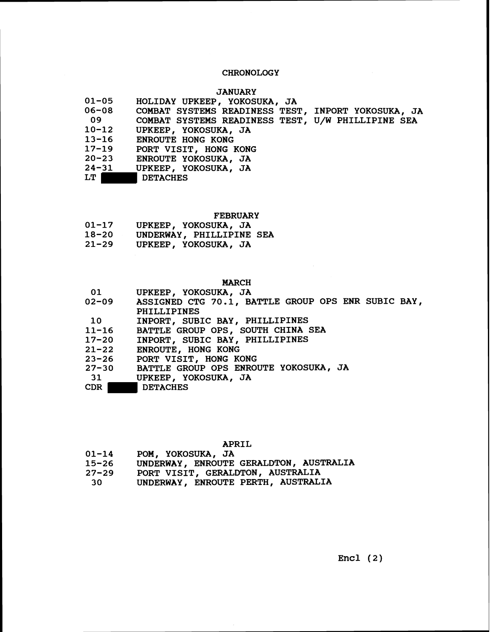# **CHRONOLOGY**

## **JANUARY**

| $01 - 05$<br>HOLIDAY UPKEEP, YOKOSUKA, JA                |  |
|----------------------------------------------------------|--|
| 06-08 COMBAT SYSTEMS READINESS TEST, INPORT YOKOSUKA, JA |  |
| 09<br>COMBAT SYSTEMS READINESS TEST, U/W PHILLIPINE SEA  |  |
| $10 - 12$<br>UPKEEP, YOKOSUKA, JA                        |  |
| 13-16<br>ENROUTE HONG KONG                               |  |
| $17 - 19$<br>PORT VISIT, HONG KONG                       |  |
| $20 - 23$<br>ENROUTE YOKOSUKA, JA                        |  |
| $24 - 31$<br>UPKEEP, YOKOSUKA, JA                        |  |
| LT  <br><b>DETACHES</b>                                  |  |

FEBRUARY

| $01 - 17$ |  | UPKEEP, YOKOSUKA, JA |  |
|-----------|--|----------------------|--|
|-----------|--|----------------------|--|

- 18-20 UNDERWAY, PHILLIPINE SEA<br>21-29 UPKEEP, YOKOSUKA, JA
- **21-29** UPKEEP, YOKOSUKA, JA

## MARCH

| 01        | UPKEEP, YOKOSUKA, JA                                     |
|-----------|----------------------------------------------------------|
|           | 02-09 ASSIGNED CTG 70.1, BATTLE GROUP OPS ENR SUBIC BAY, |
|           | PHILLIPINES                                              |
| 10        | INPORT, SUBIC BAY, PHILLIPINES                           |
| $11 - 16$ | BATTLE GROUP OPS, SOUTH CHINA SEA                        |
| $17 - 20$ | INPORT, SUBIC BAY, PHILLIPINES                           |
|           | 21-22 ENROUTE, HONG KONG                                 |
| $23 - 26$ | PORT VISIT, HONG KONG                                    |
| $27 - 30$ | BATTLE GROUP OPS ENROUTE YOKOSUKA, JA                    |
| 31        | UPKEEP, YOKOSUKA, JA                                     |
| CDR       | <b>DETACHES</b>                                          |

APRIL

| $01 - 14$ |  | POM, YOKOSUKA, JA |  |
|-----------|--|-------------------|--|
|-----------|--|-------------------|--|

- **15-26** UNDERWAY, ENROUTE GERALDTON, AUSTRALIA
- **27-29** PORT VISIT, GERALDTON, AUSTRALIA
- **30** UNDERWAY, ENROUTE PERTH, AUSTRALIA

 $Encl (2)$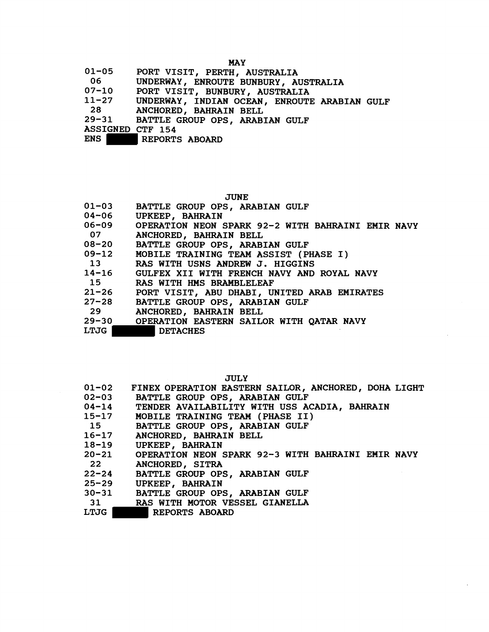MAY

| $01 - 05$ |  |  | PORT VISIT, PERTH, AUSTRALIA |
|-----------|--|--|------------------------------|
|-----------|--|--|------------------------------|

- **06** UNDERWAY, ENROUTE BUNBURY, AUSTRALIA
- 07-10 PORT VISIT, BUNBURY, AUSTRALIA<br>11-27 UNDERWAY, INDIAN OCEAN, ENROUTE
- **11-27** UNDERWAY, INDIAN OCEAN, ENROUTE ARABIAN GULF
- 28 ANCHORED, BAHRAIN BELL

**29-31** BATTLE GROUP OPS, ARABIAN GULF

ASSIGNED CTF **154** 

REPORTS ABOARD

| v. |
|----|
|----|

| $01 - 03$       | BATTLE GROUP OPS, ARABIAN GULF                    |
|-----------------|---------------------------------------------------|
| 04-06           | UPKEEP, BAHRAIN                                   |
| $06 - 09$       | OPERATION NEON SPARK 92-2 WITH BAHRAINI EMIR NAVY |
| 07              | ANCHORED, BAHRAIN BELL                            |
| 08-20           | BATTLE GROUP OPS, ARABIAN GULF                    |
|                 | 09-12 MOBILE TRAINING TEAM ASSIST (PHASE I)       |
| $\overline{13}$ | RAS WITH USNS ANDREW J. HIGGINS                   |
| $14 - 16$       | GULFEX XII WITH FRENCH NAVY AND ROYAL NAVY        |
| 15              | RAS WITH HMS BRAMBLELEAF                          |
| $21 - 26$       | PORT VISIT, ABU DHABI, UNITED ARAB EMIRATES       |
| $27 - 28$       | BATTLE GROUP OPS, ARABIAN GULF                    |
| - 29            | ANCHORED, BAHRAIN BELL                            |
| $29 - 30$       | OPERATION EASTERN SAILOR WITH QATAR NAVY          |
| LTJG            | <b>DETACHES</b>                                   |
|                 |                                                   |

JULY

| $01 - 02$ | FINEX OPERATION EASTERN SAILOR, ANCHORED, DOHA LIGHT    |
|-----------|---------------------------------------------------------|
| $02 - 03$ | BATTLE GROUP OPS, ARABIAN GULF                          |
| $04 - 14$ | TENDER AVAILABILITY WITH USS ACADIA, BAHRAIN            |
|           | 15-17 MOBILE TRAINING TEAM (PHASE II)                   |
| 15        | BATTLE GROUP OPS, ARABIAN GULF                          |
| $16 - 17$ | ANCHORED, BAHRAIN BELL                                  |
|           | 18-19 UPKEEP, BAHRAIN                                   |
|           | 20-21 OPERATION NEON SPARK 92-3 WITH BAHRAINI EMIR NAVY |
| 22        | ANCHORED, SITRA                                         |
| $22 - 24$ | BATTLE GROUP OPS, ARABIAN GULF                          |
| $25 - 29$ | UPKEEP, BAHRAIN                                         |
|           | 30-31 BATTLE GROUP OPS, ARABIAN GULF                    |
|           | 31 RAS WITH MOTOR VESSEL GIANELLA                       |
| T MTA     | <b>BRDADOO IBAIRD</b>                                   |

LTJG REPORTS ABOARD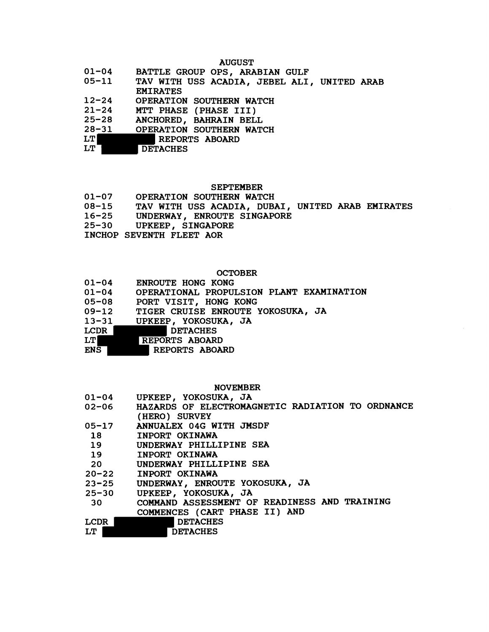### AUGUST

- 01-04 BATTLE GROUP OPS, ARABIAN GULF<br>05-11 TAV WITH USS ACADIA, JEBEL ALI
- **05-11** TAV WITH USS ACADIA, JEBEL ALI, UNITED ARAB EMIRATES
- 12-24 OPERATION SOUTHERN WATCH<br>21-24 MTT PHASE (PHASE III)
- 21-24 MTT PHASE (PHASE III)<br>25-28 ANCHORED, BAHRAIN BEL
- **25-28** ANCHORED, BAHRAIN BELL
- **28-31 OPERATION SOUTHERN WATCH<br>LT REPORTS ABOARD**
- LT REPORTS ABOARD<br>LT DETACHES
- **DETACHES**

- SEPTEMBER<br>01-07 OPERATION SOUTHERN WATCH **01-07** OPERATION SOUTHERN WATCH
- **08-15** TAV WITH USS ACADIA, DUBAI, UNITED ARAB EMIRATES
- **16-25** UNDERWAY, ENROUTE SINGAPORE
- **25-30** UPKEEP, SINGAPORE
- INCHOP SEVENTH FLEET AOR

### **OCTOBER**

| $01 - 04$   | ENROUTE HONG KONG                        |
|-------------|------------------------------------------|
| $01 - 04$   | OPERATIONAL PROPULSION PLANT EXAMINATION |
| 05-08       | PORT VISIT, HONG KONG                    |
| $09 - 12$   | TIGER CRUISE ENROUTE YOKOSUKA, JA        |
| $13 - 31$   | UPKEEP, YOKOSUKA, JA                     |
| <b>LCDR</b> | DETACHES                                 |
| LT          | <b>REPORTS ABOARD</b>                    |
|             |                                          |

ENS REPORTS ABOARD

### NOVEMBER

| $01 - 04$    | UPKEEP, YOKOSUKA, JA                             |
|--------------|--------------------------------------------------|
| 02-06        | HAZARDS OF ELECTROMAGNETIC RADIATION TO ORDNANCE |
|              | (HERO) SURVEY                                    |
|              | 05-17 ANNUALEX 04G WITH JMSDF                    |
| 18 18        | INPORT OKINAWA                                   |
| 19           | UNDERWAY PHILLIPINE SEA                          |
| 19           | INPORT OKINAWA                                   |
|              | UNDERWAY PHILLIPINE SEA                          |
| $20 - 22$    | INPORT OKINAWA                                   |
| $23 - 25$    | UNDERWAY, ENROUTE YOKOSUKA, JA                   |
| $25 - 30$    | UPKEEP, YOKOSUKA, JA                             |
| 30 <b>Si</b> | COMMAND ASSESSMENT OF READINESS AND TRAINING     |
|              | COMMENCES (CART PHASE II) AND                    |
| LCDR         | <b>DETACHES</b>                                  |
| LT           | <b>DETACHES</b>                                  |
|              |                                                  |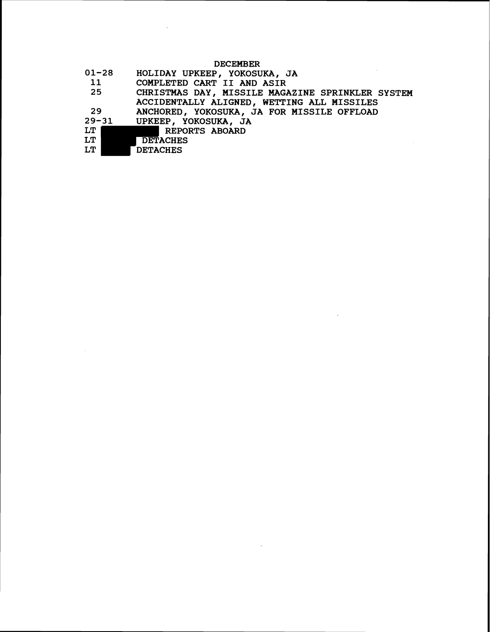# **DECEMBER**

 $\sim$   $\alpha$ 

 $\mathcal{L}^{\text{max}}_{\text{max}}$ 

| $01 - 28$ | HOLIDAY UPKEEP, YOKOSUKA, JA                     |
|-----------|--------------------------------------------------|
| 11        | COMPLETED CART II AND ASIR                       |
| 25        | CHRISTMAS DAY, MISSILE MAGAZINE SPRINKLER SYSTEM |
|           | ACCIDENTALLY ALIGNED, WETTING ALL MISSILES       |
| - 29      | ANCHORED, YOKOSUKA, JA FOR MISSILE OFFLOAD       |
|           | 29-31 UPKEEP, YOKOSUKA, JA                       |
| LT        | REPORTS ABOARD                                   |
| LT        | <b>DETACHES</b>                                  |
| LT        | <b>DETACHES</b>                                  |
|           |                                                  |

 $\mathcal{L}^{\text{max}}_{\text{max}}$  , where  $\mathcal{L}^{\text{max}}_{\text{max}}$ 

 $\sim 10^{-11}$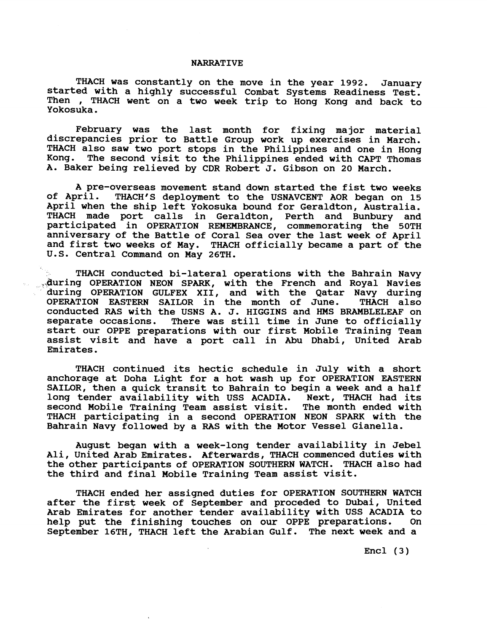### **NARRATIVE**

**THACH was constantly on the move in the year 1992. January started with a highly successful Combat Systems Readiness Test, Then** , **THACH went on a two week trip to Hong Kong and back to**  Then , THACH went on a two week trip to Hong Kong and back to Yokosuka.

**February was the last month for fixing major material discrepancies prior to Battle Group work up exercises in March. THACH also saw two port stops in the philippines and one in Hong Kong. The second visit to the Philippines ended with CAPT Thomas**  A. Baker being relieved by CDR Robert J. Gibson on 20 March.

**A pre-overseas movement stand down started the fist two weeks**  THACH'S deployment to the USNAVCENT AOR began on 15 **April when the ship left Yokosuka bound for Geraldton, Australia. THACH made port calls in Geraldton, Perth and Bunbury and participated in OPERATION REMEMBRANCE, conunemorating the 50TH anniversary of the Battle of Coral Sea over the last week of April and first two weeks of May, THACH officially became a part of the U.S. Central Command on May 26TH.** 

**THACH conducted bi-lateral operations with the Bahrain Navy**  <sub>23</sub> during OPERATION NEON SPARK, with the French and Royal Navies **during OPERATION GULFEX XII, and with the Qatar Navy during**  OPERATION EASTERN SAILOR in the month of June. **conducted RAS with the USNS A. J. HIGGINS and HMS BRAMBLELEAF on**  There was still time in June to officially **start our OPPE preparations with our first Mobile Training Team assist visit and have a port call in Abu Dhabi, United Arab Emirates.** 

**THACH continued its hectic schedule in July with a short anchorage at Doha Light for a hot wash up for OPERATION EASTERN**  SAILOR, then a quick transit to Bahrain to begin a week and a half long tender availability with USS ACADIA. Next, THACH had its **long tender availability with USS ACADIA. Next, THACH had its**  second Mobile Training Team assist visit. **THACH participating in a second OPERATION NEON SPARK with the Bahrain Navy followed by a RAS with the Motor Vessel Gianella.** 

**August began with a week-long tender availability in Jebel Ali, United Arab Emirates. Afterwards, THACH commenced duties with the other participants of OPERATION SOUTHERN WATCH. THACH also had the third and final Mobile Training Team assist visit.** 

**THACH ended her assigned duties for OPERATION SOUTHERN WATCH**  after the first week of September and proceded to Dubai, United **Arab Emirates for another tender availability with USS ACADIA to**  help put the finishing touches on our OPPE preparations. **September 16TH, THACH left the Arabian Gulf. The next week and a** 

**Encl (3)**